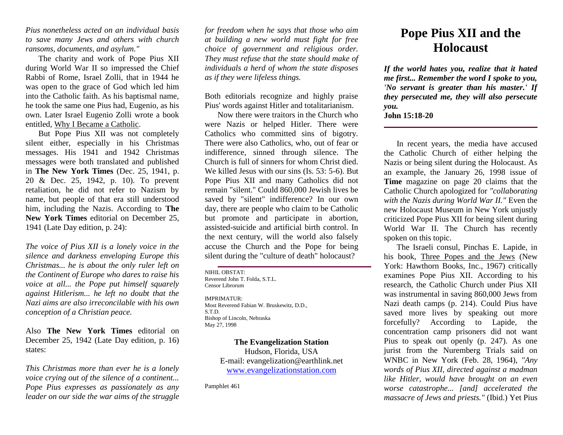*Pius nonetheless acted on an individual basis to save many Jews and others with church ransoms, documents, and asylum."*

The charity and work of Pope Pius XII during World War II so impressed the Chief Rabbi of Rome, Israel Zolli, that in 1944 he was open to the grace of God which led him into the Catholic faith. As his baptismal name, he took the same one Pius had, Eugenio, as his own. Later Israel Eugenio Zolli wrote a book entitled, Why I Became a Catholic.

But Pope Pius XII was not completely silent either, especially in his Christmas messages. His 1941 and 1942 Christmas messages were both translated and published in **The New York Times** (Dec. 25, 1941, p. 20 & Dec. 25, 1942, p. 10). To prevent retaliation, he did not refer to Nazism by name, but people of that era still understood him, including the Nazis. According to **The New York Times** editorial on December 25, 1941 (Late Day edition, p. 24):

*The voice of Pius XII is a lonely voice in the silence and darkness enveloping Europe this Christmas... he is about the only ruler left on the Continent of Europe who dares to raise his voice at all... the Pope put himself squarely against Hitlerism... he left no doubt that the Nazi aims are also irreconcilable with his own conception of a Christian peace.*

Also **The New York Times** editorial on December 25, 1942 (Late Day edition, p. 16) states:

*This Christmas more than ever he is a lonely voice crying out of the silence of a continent... Pope Pius expresses as passionately as any leader on our side the war aims of the struggle*  *for freedom when he says that those who aim at building a new world must fight for free choice of government and religious order. They must refuse that the state should make of individuals a herd of whom the state disposes as if they were lifeless things.*

Both editorials recognize and highly praise Pius' words against Hitler and totalitarianism.

Now there were traitors in the Church who were Nazis or helped Hitler. There were Catholics who committed sins of bigotry. There were also Catholics, who, out of fear or indifference, sinned through silence. The Church is full of sinners for whom Christ died. We killed Jesus with our sins (Is. 53: 5-6). But Pope Pius XII and many Catholics did not remain "silent." Could 860,000 Jewish lives be saved by "silent" indifference? In our own day, there are people who claim to be Catholic but promote and participate in abortion, assisted-suicide and artificial birth control. In the next century, will the world also falsely accuse the Church and the Pope for being silent during the "culture of death" holocaust?

NIHIL OBSTAT: Reverend John T. Folda, S.T.L. Censor Librorum IMPRIMATUR: Most Reverend Fabian W. Bruskewitz, D.D., S.T.D.

Bishop of Lincoln, Nebraska May 27, 1998

> **The Evangelization Station** Hudson, Florida, USA E-mail: evangelization@earthlink.net [www.evangelizationstation.com](http://www.pjpiisoe.org/)

Pamphlet 461

## **Pope Pius XII and the Holocaust**

*If the world hates you, realize that it hated me first... Remember the word I spoke to you, 'No servant is greater than his master.' If they persecuted me, they will also persecute you.* **John 15:18-20** 

In recent years, the media have accused the Catholic Church of either helping the Nazis or being silent during the Holocaust. As an example, the January 26, 1998 issue of **Time** magazine on page 20 claims that the Catholic Church apologized for *"collaborating with the Nazis during World War II."* Even the new Holocaust Museum in New York unjustly criticized Pope Pius XII for being silent during World War II. The Church has recently spoken on this topic.

The Israeli consul, Pinchas E. Lapide, in his book, Three Popes and the Jews (New York: Hawthorn Books, Inc., 1967) critically examines Pope Pius XII. According to his research, the Catholic Church under Pius XII was instrumental in saving 860,000 Jews from Nazi death camps (p. 214). Could Pius have saved more lives by speaking out more forcefully? According to Lapide, the concentration camp prisoners did not want Pius to speak out openly (p. 247). As one jurist from the Nuremberg Trials said on WNBC in New York (Feb. 28, 1964), *"Any words of Pius XII, directed against a madman like Hitler, would have brought on an even worse catastrophe... [and] accelerated the massacre of Jews and priests."* (Ibid.) Yet Pius